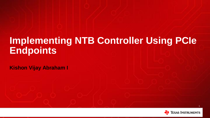## **Implementing NTB Controller Using PCIe Endpoints**

**Kishon Vijay Abraham I**

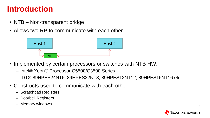#### **Introduction**

- NTB Non-transparent bridge
- Allows two RP to communicate with each other



- Implemented by certain processors or switches with NTB HW.
	- Intel® Xeon® Processor C5500/C3500 Series
	- IDT® 89HPES24NT6, 89HPES32NT8, 89HPES12NT12, 89HPES16NT16 etc..
- Constructs used to communicate with each other
	- Scratchpad Registers
	- Doorbell Registers
	- Memory windows

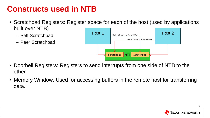## **Constructs used in NTB**

- Scratchpad Registers: Register space for each of the host (used by applications built over NTB)
	- Self Scratchpad
	- Peer Scratchpad



- Doorbell Registers: Registers to send interrupts from one side of NTB to the other
- Memory Window: Used for accessing buffers in the remote host for transferring data.

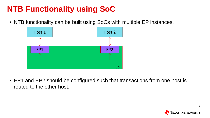## **NTB Functionality using SoC**

• NTB functionality can be built using SoCs with multiple EP instances.



• EP1 and EP2 should be configured such that transactions from one host is routed to the other host.



4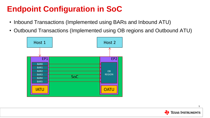## **Endpoint Configuration in SoC**

- Inbound Transactions (Implemented using BARs and Inbound ATU)
- Outbound Transactions (Implemented using OB regions and Outbound ATU)



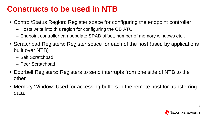### **Constructs to be used in NTB**

- Control/Status Region: Register space for configuring the endpoint controller
	- Hosts write into this region for configuring the OB ATU
	- Endpoint controller can populate SPAD offset, number of memory windows etc..
- Scratchpad Registers: Register space for each of the host (used by applications built over NTB)
	- Self Scratchpad
	- Peer Scratchpad
- Doorbell Registers: Registers to send interrupts from one side of NTB to the other
- Memory Window: Used for accessing buffers in the remote host for transferring data.

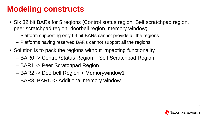### **Modeling constructs**

- Six 32 bit BARs for 5 regions (Control status region, Self scratchpad region, peer scratchpad region, doorbell region, memory window)
	- Platform supporting only 64 bit BARs cannot provide all the regions
	- Platforms having reserved BARs cannot support all the regions
- Solution is to pack the regions without impacting functionality
	- BAR0 -> Control/Status Region + Self Scratchpad Region
	- BAR1 -> Peer Scratchpad Region
	- BAR2 -> Doorbell Region + Memorywindow1
	- BAR3..BAR5 -> Additional memory window

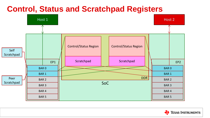#### **Control, Status and Scratchpad Registers**



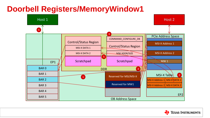## **Doorbell Registers/MemoryWindow1**



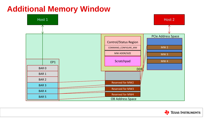## **Additional Memory Window**



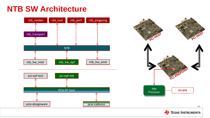## **NTB SW Architecture**





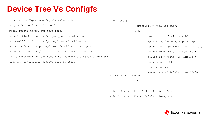## **Device Tree Vs Configfs**

```
mount -t configfs none /sys/kernel/config
cd /sys/kernel/config/pci_ep/
mkdir functions/pci_epf_test/func1
echo 0x104c > functions/pci_epf_test/func1/vendorid
echo 0xb00d > functions/pci_epf_test/func1/deviceid
echo 1 > functions/pci_epf_test/func1/msi_interrupts
echo 16 > functions/pci_epf_test/func1/msix_interrupts
ln -s functions/pci_epf_test/func1 controllers/d800000.pcie-ep/
echo 1 > controllers/d800000.pcie-ep/start
```

```
 epf_bus {
```

```
 compatible = "pci-epf-bus";
                   ntb {
                          compatible = "pci-epf-ntb";
                            epcs = <&pcie0_ep>, <&pcie1_ep>;
                           epc-names = "primary", "secondary";
                          vendor-id = \/bits/ 16 <0x104c>;
                           device-id = /bits/ 16 <0xb00d>;
                           spad-count = \langle 32 \rangle;
                          num-mws = \langle 4 \rangle;
                           mws-size = <0x100000>, <0x100000>, 
<0x100000>, <0x100000>;
                   };
          };
echo 1 > controllers/d800000.pcie-ep/start
echo 1 > controllers/d000000.pcie-ep/start
```


12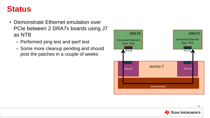#### **Status**

- Demonstrate Ethernet emulation over PCIe between 2 DRA7x boards using J7 as NTB
	- Performed ping test and iperf test
	- Some more cleanup pending and should post the patches in a couple of weeks



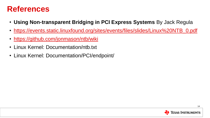#### **References**

- **Using Non-transparent Bridging in PCI Express Systems** By Jack Regula
- [https://events.static.linuxfound.org/sites/events/files/slides/Linux%20NTB\\_0.pdf](https://events.static.linuxfound.org/sites/events/files/slides/Linux NTB_0.pdf)
- <https://github.com/jonmason/ntb/wiki>
- Linux Kernel: Documentation/ntb.txt
- Linux Kernel: Documentation/PCI/endpoint/